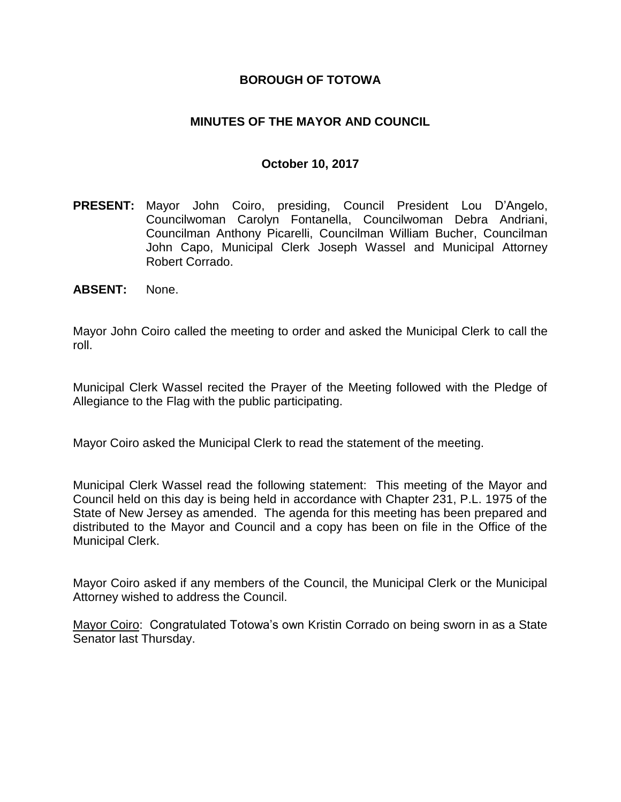## **BOROUGH OF TOTOWA**

## **MINUTES OF THE MAYOR AND COUNCIL**

#### **October 10, 2017**

- **PRESENT:** Mayor John Coiro, presiding, Council President Lou D'Angelo, Councilwoman Carolyn Fontanella, Councilwoman Debra Andriani, Councilman Anthony Picarelli, Councilman William Bucher, Councilman John Capo, Municipal Clerk Joseph Wassel and Municipal Attorney Robert Corrado.
- **ABSENT:** None.

Mayor John Coiro called the meeting to order and asked the Municipal Clerk to call the roll.

Municipal Clerk Wassel recited the Prayer of the Meeting followed with the Pledge of Allegiance to the Flag with the public participating.

Mayor Coiro asked the Municipal Clerk to read the statement of the meeting.

Municipal Clerk Wassel read the following statement: This meeting of the Mayor and Council held on this day is being held in accordance with Chapter 231, P.L. 1975 of the State of New Jersey as amended. The agenda for this meeting has been prepared and distributed to the Mayor and Council and a copy has been on file in the Office of the Municipal Clerk.

Mayor Coiro asked if any members of the Council, the Municipal Clerk or the Municipal Attorney wished to address the Council.

Mayor Coiro: Congratulated Totowa's own Kristin Corrado on being sworn in as a State Senator last Thursday.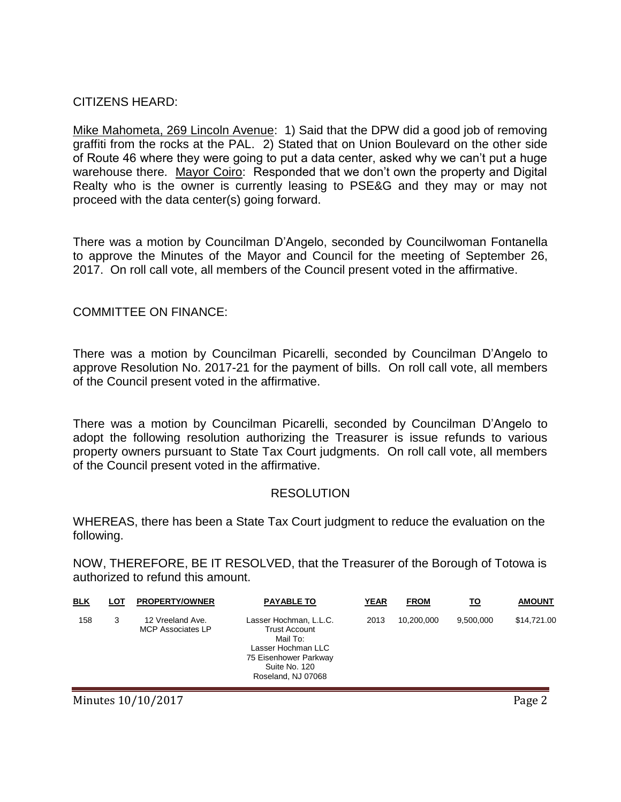## CITIZENS HEARD:

Mike Mahometa, 269 Lincoln Avenue: 1) Said that the DPW did a good job of removing graffiti from the rocks at the PAL. 2) Stated that on Union Boulevard on the other side of Route 46 where they were going to put a data center, asked why we can't put a huge warehouse there. Mayor Coiro: Responded that we don't own the property and Digital Realty who is the owner is currently leasing to PSE&G and they may or may not proceed with the data center(s) going forward.

There was a motion by Councilman D'Angelo, seconded by Councilwoman Fontanella to approve the Minutes of the Mayor and Council for the meeting of September 26, 2017. On roll call vote, all members of the Council present voted in the affirmative.

#### COMMITTEE ON FINANCE:

There was a motion by Councilman Picarelli, seconded by Councilman D'Angelo to approve Resolution No. 2017-21 for the payment of bills. On roll call vote, all members of the Council present voted in the affirmative.

There was a motion by Councilman Picarelli, seconded by Councilman D'Angelo to adopt the following resolution authorizing the Treasurer is issue refunds to various property owners pursuant to State Tax Court judgments. On roll call vote, all members of the Council present voted in the affirmative.

#### RESOLUTION

WHEREAS, there has been a State Tax Court judgment to reduce the evaluation on the following.

NOW, THEREFORE, BE IT RESOLVED, that the Treasurer of the Borough of Totowa is authorized to refund this amount.

| <b>BLK</b> | LOT | <b>PROPERTY/OWNER</b>                        | <b>PAYABLE TO</b>                                                                                                                                | <b>YEAR</b> | <b>FROM</b> | <u>TO</u> | <u>AMOUNT</u> |
|------------|-----|----------------------------------------------|--------------------------------------------------------------------------------------------------------------------------------------------------|-------------|-------------|-----------|---------------|
| 158        | 3   | 12 Vreeland Ave.<br><b>MCP Associates LP</b> | Lasser Hochman, L.L.C.<br><b>Trust Account</b><br>Mail To:<br>Lasser Hochman LLC<br>75 Eisenhower Parkway<br>Suite No. 120<br>Roseland, NJ 07068 | 2013        | 10.200.000  | 9.500.000 | \$14,721.00   |
|            |     |                                              |                                                                                                                                                  |             |             |           |               |

Minutes 10/10/2017 Page 2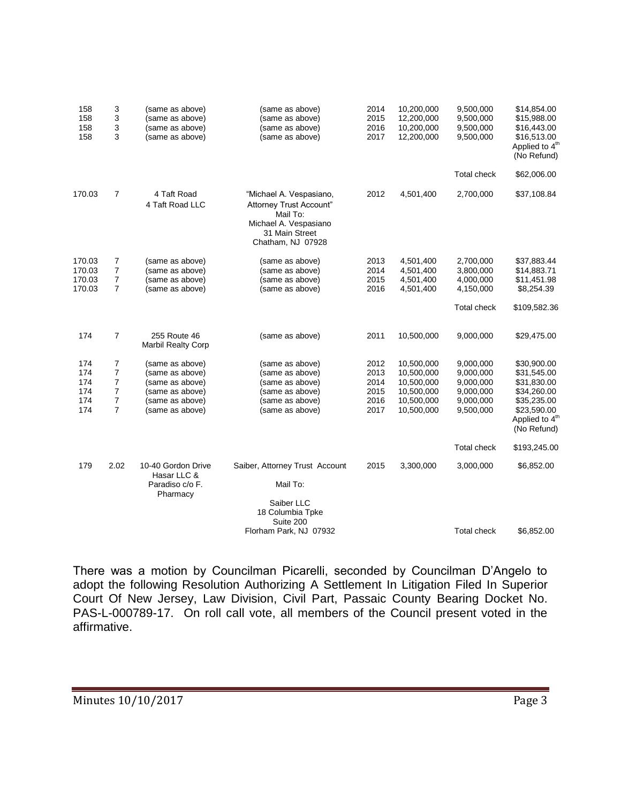| 158<br>158<br>158<br>158               | 3<br>3<br>3<br>3                                                  | (same as above)<br>(same as above)<br>(same as above)<br>(same as above)                                       | (same as above)<br>(same as above)<br>(same as above)<br>(same as above)                                                       | 2014<br>2015<br>2016<br>2017                 | 10,200,000<br>12,200,000<br>10,200,000<br>12,200,000                             | 9,500,000<br>9,500,000<br>9,500,000<br>9,500,000                           | \$14,854.00<br>\$15,988.00<br>\$16,443.00<br>\$16,513.00<br>Applied to 4 <sup>th</sup><br>(No Refund)                               |
|----------------------------------------|-------------------------------------------------------------------|----------------------------------------------------------------------------------------------------------------|--------------------------------------------------------------------------------------------------------------------------------|----------------------------------------------|----------------------------------------------------------------------------------|----------------------------------------------------------------------------|-------------------------------------------------------------------------------------------------------------------------------------|
|                                        |                                                                   |                                                                                                                |                                                                                                                                |                                              |                                                                                  | <b>Total check</b>                                                         | \$62,006.00                                                                                                                         |
| 170.03                                 | 7                                                                 | 4 Taft Road<br>4 Taft Road LLC                                                                                 | "Michael A. Vespasiano,<br>Attorney Trust Account"<br>Mail To:<br>Michael A. Vespasiano<br>31 Main Street<br>Chatham, NJ 07928 | 2012                                         | 4,501,400                                                                        | 2,700,000                                                                  | \$37,108.84                                                                                                                         |
| 170.03<br>170.03<br>170.03<br>170.03   | 7<br>$\overline{7}$<br>$\overline{7}$<br>$\overline{7}$           | (same as above)<br>(same as above)<br>(same as above)<br>(same as above)                                       | (same as above)<br>(same as above)<br>(same as above)<br>(same as above)                                                       | 2013<br>2014<br>2015<br>2016                 | 4,501,400<br>4,501,400<br>4,501,400<br>4,501,400                                 | 2,700,000<br>3,800,000<br>4,000,000<br>4,150,000                           | \$37,883.44<br>\$14,883.71<br>\$11,451.98<br>\$8,254.39                                                                             |
|                                        |                                                                   |                                                                                                                |                                                                                                                                |                                              |                                                                                  | <b>Total check</b>                                                         | \$109,582.36                                                                                                                        |
| 174                                    | $\overline{7}$                                                    | 255 Route 46<br><b>Marbil Realty Corp</b>                                                                      | (same as above)                                                                                                                | 2011                                         | 10,500,000                                                                       | 9,000,000                                                                  | \$29,475.00                                                                                                                         |
| 174<br>174<br>174<br>174<br>174<br>174 | 7<br>$\overline{7}$<br>7<br>$\overline{7}$<br>$\overline{7}$<br>7 | (same as above)<br>(same as above)<br>(same as above)<br>(same as above)<br>(same as above)<br>(same as above) | (same as above)<br>(same as above)<br>(same as above)<br>(same as above)<br>(same as above)<br>(same as above)                 | 2012<br>2013<br>2014<br>2015<br>2016<br>2017 | 10,500,000<br>10,500,000<br>10,500,000<br>10,500,000<br>10,500,000<br>10,500,000 | 9,000,000<br>9,000,000<br>9,000,000<br>9,000,000<br>9,000,000<br>9,500,000 | \$30,900.00<br>\$31,545.00<br>\$31,830.00<br>\$34,260.00<br>\$35,235.00<br>\$23,590.00<br>Applied to 4 <sup>th</sup><br>(No Refund) |
|                                        |                                                                   |                                                                                                                |                                                                                                                                |                                              |                                                                                  | <b>Total check</b>                                                         | \$193,245.00                                                                                                                        |
| 179                                    | 2.02                                                              | 10-40 Gordon Drive<br>Hasar LLC &<br>Paradiso c/o F.<br>Pharmacy                                               | Saiber, Attorney Trust Account<br>Mail To:<br>Saiber LLC<br>18 Columbia Tpke                                                   | 2015                                         | 3,300,000                                                                        | 3,000,000                                                                  | \$6,852.00                                                                                                                          |
|                                        |                                                                   |                                                                                                                | Suite 200<br>Florham Park, NJ 07932                                                                                            |                                              |                                                                                  | <b>Total check</b>                                                         | \$6,852.00                                                                                                                          |

There was a motion by Councilman Picarelli, seconded by Councilman D'Angelo to adopt the following Resolution Authorizing A Settlement In Litigation Filed In Superior Court Of New Jersey, Law Division, Civil Part, Passaic County Bearing Docket No. PAS-L-000789-17. On roll call vote, all members of the Council present voted in the affirmative.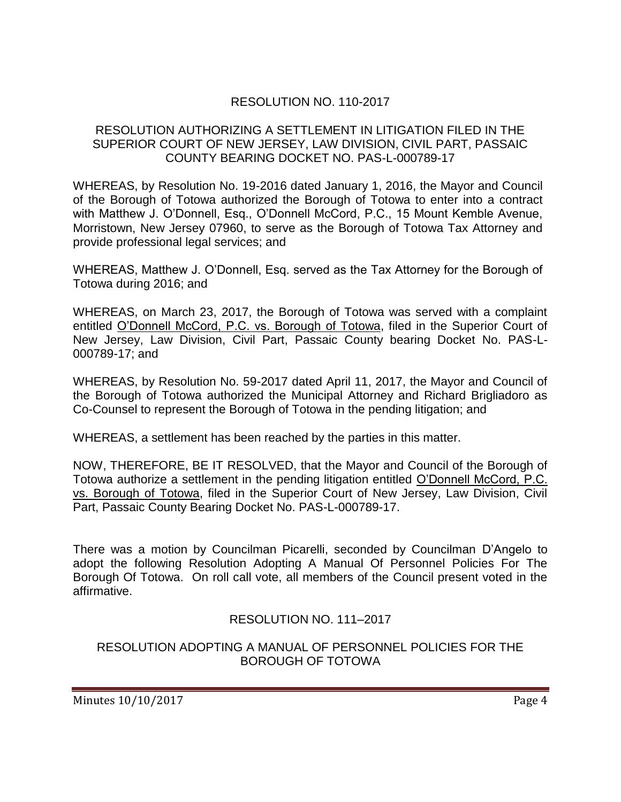# RESOLUTION NO. 110-2017

### RESOLUTION AUTHORIZING A SETTLEMENT IN LITIGATION FILED IN THE SUPERIOR COURT OF NEW JERSEY, LAW DIVISION, CIVIL PART, PASSAIC COUNTY BEARING DOCKET NO. PAS-L-000789-17

WHEREAS, by Resolution No. 19-2016 dated January 1, 2016, the Mayor and Council of the Borough of Totowa authorized the Borough of Totowa to enter into a contract with Matthew J. O'Donnell, Esq., O'Donnell McCord, P.C., 15 Mount Kemble Avenue, Morristown, New Jersey 07960, to serve as the Borough of Totowa Tax Attorney and provide professional legal services; and

WHEREAS, Matthew J. O'Donnell, Esq. served as the Tax Attorney for the Borough of Totowa during 2016; and

WHEREAS, on March 23, 2017, the Borough of Totowa was served with a complaint entitled O'Donnell McCord, P.C. vs. Borough of Totowa, filed in the Superior Court of New Jersey, Law Division, Civil Part, Passaic County bearing Docket No. PAS-L-000789-17; and

WHEREAS, by Resolution No. 59-2017 dated April 11, 2017, the Mayor and Council of the Borough of Totowa authorized the Municipal Attorney and Richard Brigliadoro as Co-Counsel to represent the Borough of Totowa in the pending litigation; and

WHEREAS, a settlement has been reached by the parties in this matter.

NOW, THEREFORE, BE IT RESOLVED, that the Mayor and Council of the Borough of Totowa authorize a settlement in the pending litigation entitled O'Donnell McCord, P.C. vs. Borough of Totowa, filed in the Superior Court of New Jersey, Law Division, Civil Part, Passaic County Bearing Docket No. PAS-L-000789-17.

There was a motion by Councilman Picarelli, seconded by Councilman D'Angelo to adopt the following Resolution Adopting A Manual Of Personnel Policies For The Borough Of Totowa. On roll call vote, all members of the Council present voted in the affirmative.

#### RESOLUTION NO. 111–2017

#### RESOLUTION ADOPTING A MANUAL OF PERSONNEL POLICIES FOR THE BOROUGH OF TOTOWA

Minutes 10/10/2017 Page 4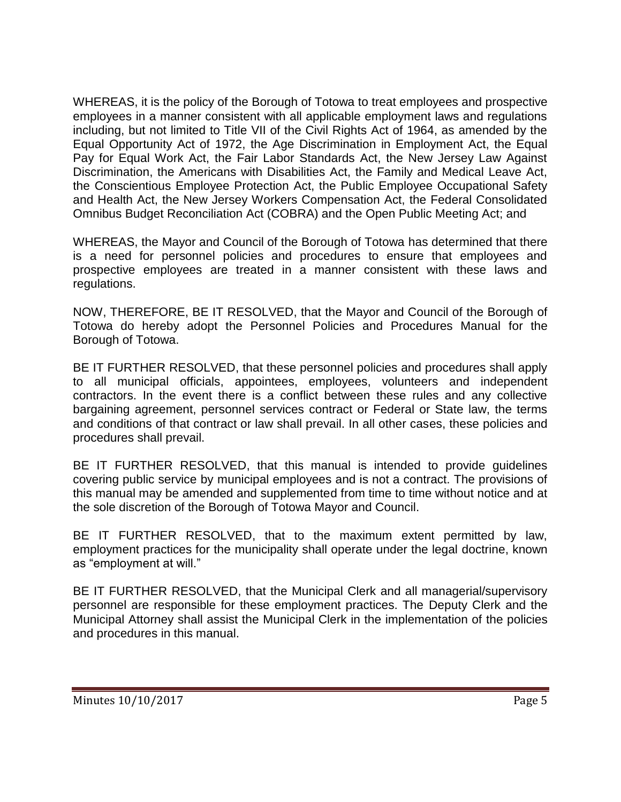WHEREAS, it is the policy of the Borough of Totowa to treat employees and prospective employees in a manner consistent with all applicable employment laws and regulations including, but not limited to Title VII of the Civil Rights Act of 1964, as amended by the Equal Opportunity Act of 1972, the Age Discrimination in Employment Act, the Equal Pay for Equal Work Act, the Fair Labor Standards Act, the New Jersey Law Against Discrimination, the Americans with Disabilities Act, the Family and Medical Leave Act, the Conscientious Employee Protection Act, the Public Employee Occupational Safety and Health Act, the New Jersey Workers Compensation Act, the Federal Consolidated Omnibus Budget Reconciliation Act (COBRA) and the Open Public Meeting Act; and

WHEREAS, the Mayor and Council of the Borough of Totowa has determined that there is a need for personnel policies and procedures to ensure that employees and prospective employees are treated in a manner consistent with these laws and regulations.

NOW, THEREFORE, BE IT RESOLVED, that the Mayor and Council of the Borough of Totowa do hereby adopt the Personnel Policies and Procedures Manual for the Borough of Totowa.

BE IT FURTHER RESOLVED, that these personnel policies and procedures shall apply to all municipal officials, appointees, employees, volunteers and independent contractors. In the event there is a conflict between these rules and any collective bargaining agreement, personnel services contract or Federal or State law, the terms and conditions of that contract or law shall prevail. In all other cases, these policies and procedures shall prevail.

BE IT FURTHER RESOLVED, that this manual is intended to provide guidelines covering public service by municipal employees and is not a contract. The provisions of this manual may be amended and supplemented from time to time without notice and at the sole discretion of the Borough of Totowa Mayor and Council.

BE IT FURTHER RESOLVED, that to the maximum extent permitted by law, employment practices for the municipality shall operate under the legal doctrine, known as "employment at will."

BE IT FURTHER RESOLVED, that the Municipal Clerk and all managerial/supervisory personnel are responsible for these employment practices. The Deputy Clerk and the Municipal Attorney shall assist the Municipal Clerk in the implementation of the policies and procedures in this manual.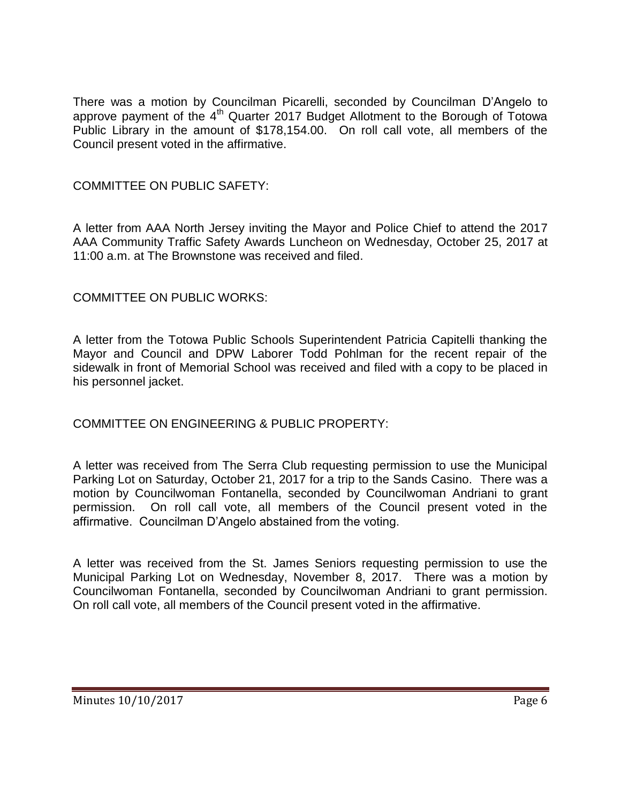There was a motion by Councilman Picarelli, seconded by Councilman D'Angelo to approve payment of the  $4<sup>th</sup>$  Quarter 2017 Budget Allotment to the Borough of Totowa Public Library in the amount of \$178,154.00. On roll call vote, all members of the Council present voted in the affirmative.

COMMITTEE ON PUBLIC SAFETY:

A letter from AAA North Jersey inviting the Mayor and Police Chief to attend the 2017 AAA Community Traffic Safety Awards Luncheon on Wednesday, October 25, 2017 at 11:00 a.m. at The Brownstone was received and filed.

COMMITTEE ON PUBLIC WORKS:

A letter from the Totowa Public Schools Superintendent Patricia Capitelli thanking the Mayor and Council and DPW Laborer Todd Pohlman for the recent repair of the sidewalk in front of Memorial School was received and filed with a copy to be placed in his personnel jacket.

COMMITTEE ON ENGINEERING & PUBLIC PROPERTY:

A letter was received from The Serra Club requesting permission to use the Municipal Parking Lot on Saturday, October 21, 2017 for a trip to the Sands Casino. There was a motion by Councilwoman Fontanella, seconded by Councilwoman Andriani to grant permission. On roll call vote, all members of the Council present voted in the affirmative. Councilman D'Angelo abstained from the voting.

A letter was received from the St. James Seniors requesting permission to use the Municipal Parking Lot on Wednesday, November 8, 2017. There was a motion by Councilwoman Fontanella, seconded by Councilwoman Andriani to grant permission. On roll call vote, all members of the Council present voted in the affirmative.